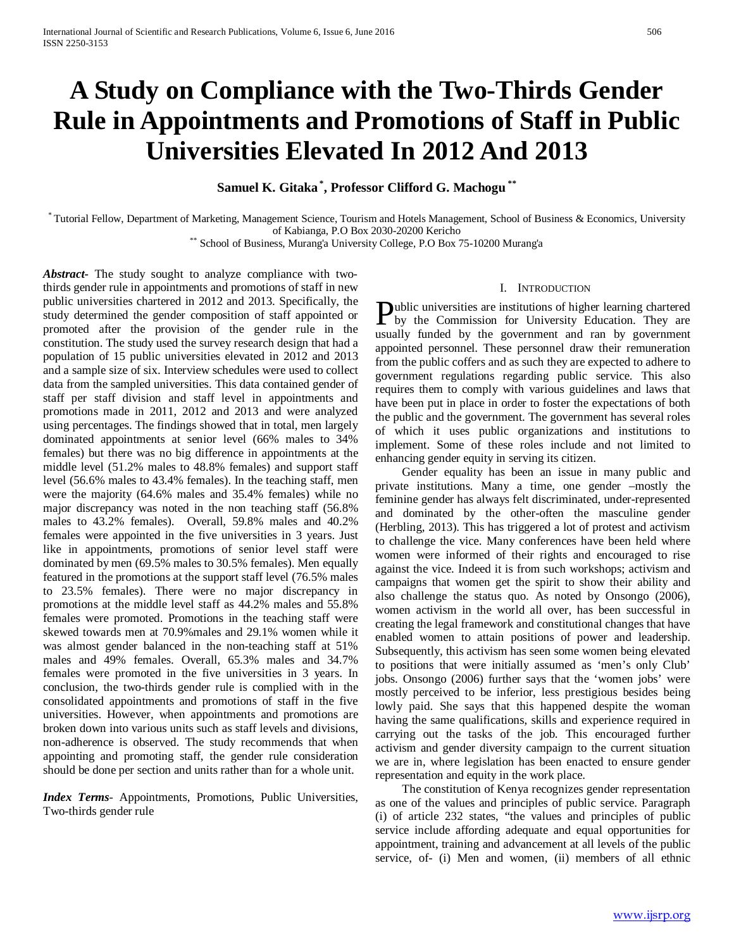# **A Study on Compliance with the Two-Thirds Gender Rule in Appointments and Promotions of Staff in Public Universities Elevated In 2012 And 2013**

**Samuel K. Gitaka \* , Professor Clifford G. Machogu \*\***

\* Tutorial Fellow, Department of Marketing, Management Science, Tourism and Hotels Management, School of Business & Economics, University

\*\* School of Business, Murang'a University College, P.O Box 75-10200 Murang'a

*Abstract***-** The study sought to analyze compliance with twothirds gender rule in appointments and promotions of staff in new public universities chartered in 2012 and 2013. Specifically, the study determined the gender composition of staff appointed or promoted after the provision of the gender rule in the constitution. The study used the survey research design that had a population of 15 public universities elevated in 2012 and 2013 and a sample size of six. Interview schedules were used to collect data from the sampled universities. This data contained gender of staff per staff division and staff level in appointments and promotions made in 2011, 2012 and 2013 and were analyzed using percentages. The findings showed that in total, men largely dominated appointments at senior level (66% males to 34% females) but there was no big difference in appointments at the middle level (51.2% males to 48.8% females) and support staff level (56.6% males to 43.4% females). In the teaching staff, men were the majority (64.6% males and 35.4% females) while no major discrepancy was noted in the non teaching staff (56.8% males to 43.2% females). Overall, 59.8% males and 40.2% females were appointed in the five universities in 3 years. Just like in appointments, promotions of senior level staff were dominated by men (69.5% males to 30.5% females). Men equally featured in the promotions at the support staff level (76.5% males to 23.5% females). There were no major discrepancy in promotions at the middle level staff as 44.2% males and 55.8% females were promoted. Promotions in the teaching staff were skewed towards men at 70.9%males and 29.1% women while it was almost gender balanced in the non-teaching staff at 51% males and 49% females. Overall, 65.3% males and 34.7% females were promoted in the five universities in 3 years. In conclusion, the two-thirds gender rule is complied with in the consolidated appointments and promotions of staff in the five universities. However, when appointments and promotions are broken down into various units such as staff levels and divisions, non-adherence is observed. The study recommends that when appointing and promoting staff, the gender rule consideration should be done per section and units rather than for a whole unit.

*Index Terms*- Appointments, Promotions, Public Universities, Two-thirds gender rule

#### I. INTRODUCTION

ublic universities are institutions of higher learning chartered **Dublic universities are institutions of higher learning chartered**<br>by the Commission for University Education. They are usually funded by the government and ran by government appointed personnel. These personnel draw their remuneration from the public coffers and as such they are expected to adhere to government regulations regarding public service. This also requires them to comply with various guidelines and laws that have been put in place in order to foster the expectations of both the public and the government. The government has several roles of which it uses public organizations and institutions to implement. Some of these roles include and not limited to enhancing gender equity in serving its citizen.

 Gender equality has been an issue in many public and private institutions. Many a time, one gender –mostly the feminine gender has always felt discriminated, under-represented and dominated by the other-often the masculine gender (Herbling, 2013). This has triggered a lot of protest and activism to challenge the vice. Many conferences have been held where women were informed of their rights and encouraged to rise against the vice. Indeed it is from such workshops; activism and campaigns that women get the spirit to show their ability and also challenge the status quo. As noted by Onsongo (2006), women activism in the world all over, has been successful in creating the legal framework and constitutional changes that have enabled women to attain positions of power and leadership. Subsequently, this activism has seen some women being elevated to positions that were initially assumed as 'men's only Club' jobs. Onsongo (2006) further says that the 'women jobs' were mostly perceived to be inferior, less prestigious besides being lowly paid. She says that this happened despite the woman having the same qualifications, skills and experience required in carrying out the tasks of the job. This encouraged further activism and gender diversity campaign to the current situation we are in, where legislation has been enacted to ensure gender representation and equity in the work place.

 The constitution of Kenya recognizes gender representation as one of the values and principles of public service. Paragraph (i) of article 232 states, "the values and principles of public service include affording adequate and equal opportunities for appointment, training and advancement at all levels of the public service, of- (i) Men and women, (ii) members of all ethnic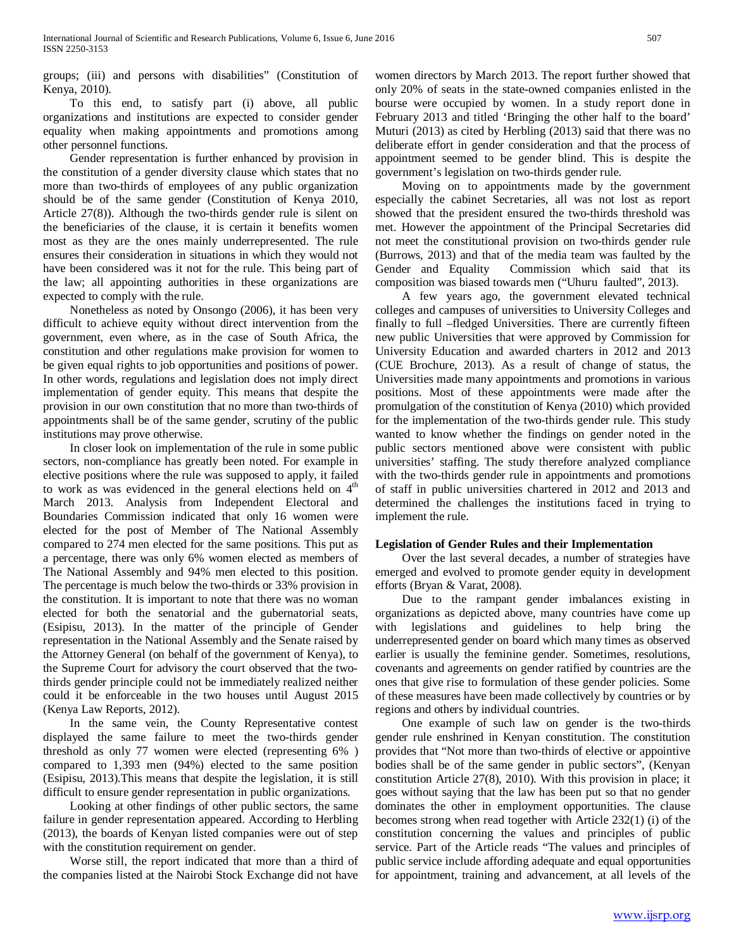groups; (iii) and persons with disabilities" (Constitution of Kenya, 2010).

 To this end, to satisfy part (i) above, all public organizations and institutions are expected to consider gender equality when making appointments and promotions among other personnel functions.

 Gender representation is further enhanced by provision in the constitution of a gender diversity clause which states that no more than two-thirds of employees of any public organization should be of the same gender (Constitution of Kenya 2010, Article 27(8)). Although the two-thirds gender rule is silent on the beneficiaries of the clause, it is certain it benefits women most as they are the ones mainly underrepresented. The rule ensures their consideration in situations in which they would not have been considered was it not for the rule. This being part of the law; all appointing authorities in these organizations are expected to comply with the rule.

 Nonetheless as noted by Onsongo (2006), it has been very difficult to achieve equity without direct intervention from the government, even where, as in the case of South Africa, the constitution and other regulations make provision for women to be given equal rights to job opportunities and positions of power. In other words, regulations and legislation does not imply direct implementation of gender equity. This means that despite the provision in our own constitution that no more than two-thirds of appointments shall be of the same gender, scrutiny of the public institutions may prove otherwise.

 In closer look on implementation of the rule in some public sectors, non-compliance has greatly been noted. For example in elective positions where the rule was supposed to apply, it failed to work as was evidenced in the general elections held on  $4<sup>th</sup>$ March 2013. Analysis from Independent Electoral and Boundaries Commission indicated that only 16 women were elected for the post of Member of The National Assembly compared to 274 men elected for the same positions. This put as a percentage, there was only 6% women elected as members of The National Assembly and 94% men elected to this position. The percentage is much below the two-thirds or 33% provision in the constitution. It is important to note that there was no woman elected for both the senatorial and the gubernatorial seats, (Esipisu, 2013). In the matter of the principle of Gender representation in the National Assembly and the Senate raised by the Attorney General (on behalf of the government of Kenya), to the Supreme Court for advisory the court observed that the twothirds gender principle could not be immediately realized neither could it be enforceable in the two houses until August 2015 (Kenya Law Reports, 2012).

 In the same vein, the County Representative contest displayed the same failure to meet the two-thirds gender threshold as only 77 women were elected (representing 6% ) compared to 1,393 men (94%) elected to the same position (Esipisu, 2013).This means that despite the legislation, it is still difficult to ensure gender representation in public organizations.

 Looking at other findings of other public sectors, the same failure in gender representation appeared. According to Herbling (2013), the boards of Kenyan listed companies were out of step with the constitution requirement on gender.

 Worse still, the report indicated that more than a third of the companies listed at the Nairobi Stock Exchange did not have women directors by March 2013. The report further showed that only 20% of seats in the state-owned companies enlisted in the bourse were occupied by women. In a study report done in February 2013 and titled 'Bringing the other half to the board' Muturi (2013) as cited by Herbling (2013) said that there was no deliberate effort in gender consideration and that the process of appointment seemed to be gender blind. This is despite the government's legislation on two-thirds gender rule.

 Moving on to appointments made by the government especially the cabinet Secretaries, all was not lost as report showed that the president ensured the two-thirds threshold was met. However the appointment of the Principal Secretaries did not meet the constitutional provision on two-thirds gender rule (Burrows, 2013) and that of the media team was faulted by the Gender and Equality Commission which said that its composition was biased towards men ("Uhuru faulted", 2013).

 A few years ago, the government elevated technical colleges and campuses of universities to University Colleges and finally to full –fledged Universities. There are currently fifteen new public Universities that were approved by Commission for University Education and awarded charters in 2012 and 2013 (CUE Brochure, 2013). As a result of change of status, the Universities made many appointments and promotions in various positions. Most of these appointments were made after the promulgation of the constitution of Kenya (2010) which provided for the implementation of the two-thirds gender rule. This study wanted to know whether the findings on gender noted in the public sectors mentioned above were consistent with public universities' staffing. The study therefore analyzed compliance with the two-thirds gender rule in appointments and promotions of staff in public universities chartered in 2012 and 2013 and determined the challenges the institutions faced in trying to implement the rule.

# **Legislation of Gender Rules and their Implementation**

 Over the last several decades, a number of strategies have emerged and evolved to promote gender equity in development efforts (Bryan & Varat, 2008).

 Due to the rampant gender imbalances existing in organizations as depicted above, many countries have come up with legislations and guidelines to help bring the underrepresented gender on board which many times as observed earlier is usually the feminine gender. Sometimes, resolutions, covenants and agreements on gender ratified by countries are the ones that give rise to formulation of these gender policies. Some of these measures have been made collectively by countries or by regions and others by individual countries.

 One example of such law on gender is the two-thirds gender rule enshrined in Kenyan constitution. The constitution provides that "Not more than two-thirds of elective or appointive bodies shall be of the same gender in public sectors", (Kenyan constitution Article 27(8), 2010). With this provision in place; it goes without saying that the law has been put so that no gender dominates the other in employment opportunities. The clause becomes strong when read together with Article 232(1) (i) of the constitution concerning the values and principles of public service. Part of the Article reads "The values and principles of public service include affording adequate and equal opportunities for appointment, training and advancement, at all levels of the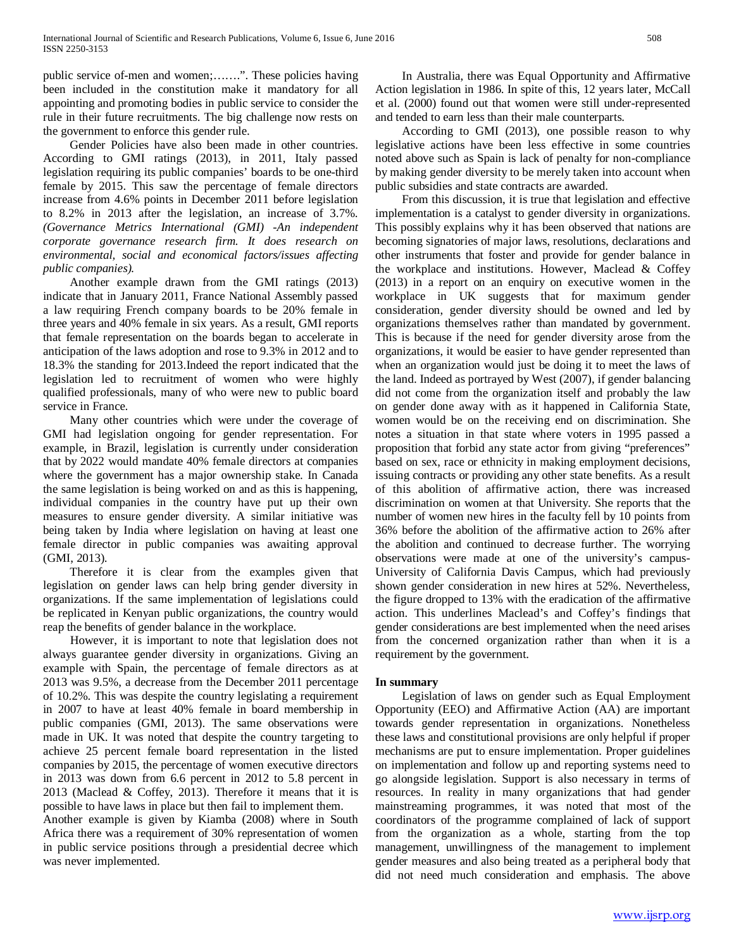public service of-men and women;.......". These policies having been included in the constitution make it mandatory for all appointing and promoting bodies in public service to consider the rule in their future recruitments. The big challenge now rests on the government to enforce this gender rule.

 Gender Policies have also been made in other countries. According to GMI ratings (2013), in 2011, Italy passed legislation requiring its public companies' boards to be one-third female by 2015. This saw the percentage of female directors increase from 4.6% points in December 2011 before legislation to 8.2% in 2013 after the legislation, an increase of 3.7%. *(Governance Metrics International (GMI) -An independent corporate governance research firm. It does research on environmental, social and economical factors/issues affecting public companies).*

 Another example drawn from the GMI ratings (2013) indicate that in January 2011, France National Assembly passed a law requiring French company boards to be 20% female in three years and 40% female in six years. As a result, GMI reports that female representation on the boards began to accelerate in anticipation of the laws adoption and rose to 9.3% in 2012 and to 18.3% the standing for 2013.Indeed the report indicated that the legislation led to recruitment of women who were highly qualified professionals, many of who were new to public board service in France.

 Many other countries which were under the coverage of GMI had legislation ongoing for gender representation. For example, in Brazil, legislation is currently under consideration that by 2022 would mandate 40% female directors at companies where the government has a major ownership stake. In Canada the same legislation is being worked on and as this is happening, individual companies in the country have put up their own measures to ensure gender diversity. A similar initiative was being taken by India where legislation on having at least one female director in public companies was awaiting approval (GMI, 2013).

 Therefore it is clear from the examples given that legislation on gender laws can help bring gender diversity in organizations. If the same implementation of legislations could be replicated in Kenyan public organizations, the country would reap the benefits of gender balance in the workplace.

 However, it is important to note that legislation does not always guarantee gender diversity in organizations. Giving an example with Spain, the percentage of female directors as at 2013 was 9.5%, a decrease from the December 2011 percentage of 10.2%. This was despite the country legislating a requirement in 2007 to have at least 40% female in board membership in public companies (GMI, 2013). The same observations were made in UK. It was noted that despite the country targeting to achieve 25 percent female board representation in the listed companies by 2015, the percentage of women executive directors in 2013 was down from 6.6 percent in 2012 to 5.8 percent in 2013 (Maclead & Coffey, 2013). Therefore it means that it is possible to have laws in place but then fail to implement them.

Another example is given by Kiamba (2008) where in South Africa there was a requirement of 30% representation of women in public service positions through a presidential decree which was never implemented.

 In Australia, there was Equal Opportunity and Affirmative Action legislation in 1986. In spite of this, 12 years later, McCall et al. (2000) found out that women were still under-represented and tended to earn less than their male counterparts.

 According to GMI (2013), one possible reason to why legislative actions have been less effective in some countries noted above such as Spain is lack of penalty for non-compliance by making gender diversity to be merely taken into account when public subsidies and state contracts are awarded.

 From this discussion, it is true that legislation and effective implementation is a catalyst to gender diversity in organizations. This possibly explains why it has been observed that nations are becoming signatories of major laws, resolutions, declarations and other instruments that foster and provide for gender balance in the workplace and institutions. However, Maclead & Coffey (2013) in a report on an enquiry on executive women in the workplace in UK suggests that for maximum gender consideration, gender diversity should be owned and led by organizations themselves rather than mandated by government. This is because if the need for gender diversity arose from the organizations, it would be easier to have gender represented than when an organization would just be doing it to meet the laws of the land. Indeed as portrayed by West (2007), if gender balancing did not come from the organization itself and probably the law on gender done away with as it happened in California State, women would be on the receiving end on discrimination. She notes a situation in that state where voters in 1995 passed a proposition that forbid any state actor from giving "preferences" based on sex, race or ethnicity in making employment decisions, issuing contracts or providing any other state benefits. As a result of this abolition of affirmative action, there was increased discrimination on women at that University. She reports that the number of women new hires in the faculty fell by 10 points from 36% before the abolition of the affirmative action to 26% after the abolition and continued to decrease further. The worrying observations were made at one of the university's campus-University of California Davis Campus, which had previously shown gender consideration in new hires at 52%. Nevertheless, the figure dropped to 13% with the eradication of the affirmative action. This underlines Maclead's and Coffey's findings that gender considerations are best implemented when the need arises from the concerned organization rather than when it is a requirement by the government.

# **In summary**

 Legislation of laws on gender such as Equal Employment Opportunity (EEO) and Affirmative Action (AA) are important towards gender representation in organizations. Nonetheless these laws and constitutional provisions are only helpful if proper mechanisms are put to ensure implementation. Proper guidelines on implementation and follow up and reporting systems need to go alongside legislation. Support is also necessary in terms of resources. In reality in many organizations that had gender mainstreaming programmes, it was noted that most of the coordinators of the programme complained of lack of support from the organization as a whole, starting from the top management, unwillingness of the management to implement gender measures and also being treated as a peripheral body that did not need much consideration and emphasis. The above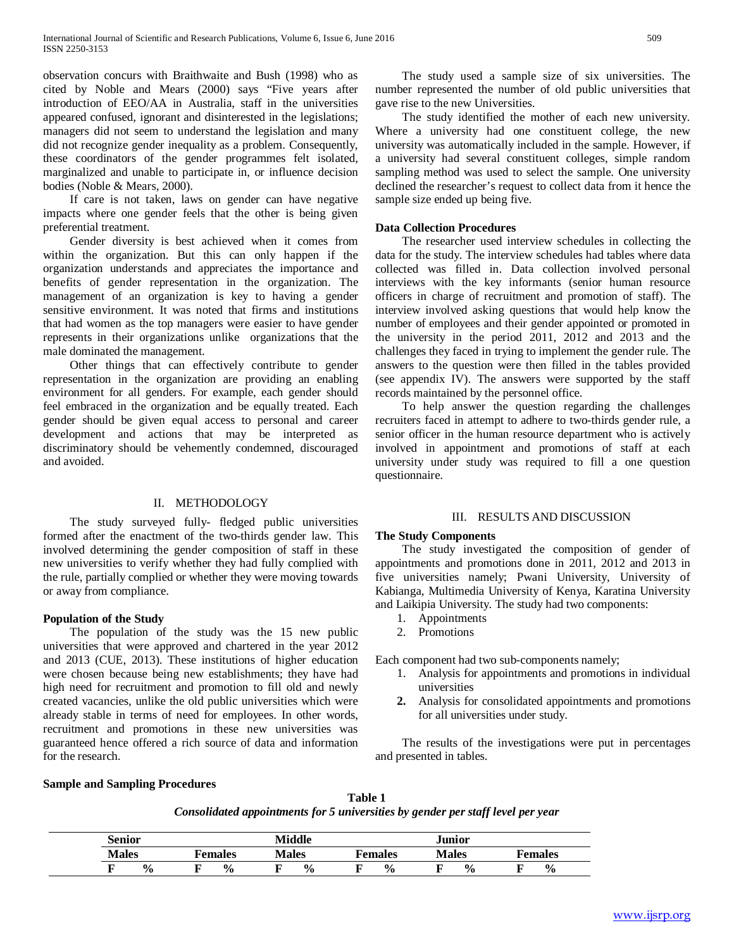observation concurs with Braithwaite and Bush (1998) who as cited by Noble and Mears (2000) says "Five years after introduction of EEO/AA in Australia, staff in the universities appeared confused, ignorant and disinterested in the legislations; managers did not seem to understand the legislation and many did not recognize gender inequality as a problem. Consequently, these coordinators of the gender programmes felt isolated, marginalized and unable to participate in, or influence decision bodies (Noble & Mears, 2000).

 If care is not taken, laws on gender can have negative impacts where one gender feels that the other is being given preferential treatment.

 Gender diversity is best achieved when it comes from within the organization. But this can only happen if the organization understands and appreciates the importance and benefits of gender representation in the organization. The management of an organization is key to having a gender sensitive environment. It was noted that firms and institutions that had women as the top managers were easier to have gender represents in their organizations unlike organizations that the male dominated the management.

 Other things that can effectively contribute to gender representation in the organization are providing an enabling environment for all genders. For example, each gender should feel embraced in the organization and be equally treated. Each gender should be given equal access to personal and career development and actions that may be interpreted as discriminatory should be vehemently condemned, discouraged and avoided.

# II. METHODOLOGY

 The study surveyed fully- fledged public universities formed after the enactment of the two-thirds gender law. This involved determining the gender composition of staff in these new universities to verify whether they had fully complied with the rule, partially complied or whether they were moving towards or away from compliance.

# **Population of the Study**

 The population of the study was the 15 new public universities that were approved and chartered in the year 2012 and 2013 (CUE, 2013). These institutions of higher education were chosen because being new establishments; they have had high need for recruitment and promotion to fill old and newly created vacancies, unlike the old public universities which were already stable in terms of need for employees. In other words, recruitment and promotions in these new universities was guaranteed hence offered a rich source of data and information for the research.

 The study used a sample size of six universities. The number represented the number of old public universities that gave rise to the new Universities.

 The study identified the mother of each new university. Where a university had one constituent college, the new university was automatically included in the sample. However, if a university had several constituent colleges, simple random sampling method was used to select the sample. One university declined the researcher's request to collect data from it hence the sample size ended up being five.

# **Data Collection Procedures**

 The researcher used interview schedules in collecting the data for the study. The interview schedules had tables where data collected was filled in. Data collection involved personal interviews with the key informants (senior human resource officers in charge of recruitment and promotion of staff). The interview involved asking questions that would help know the number of employees and their gender appointed or promoted in the university in the period 2011, 2012 and 2013 and the challenges they faced in trying to implement the gender rule. The answers to the question were then filled in the tables provided (see appendix IV). The answers were supported by the staff records maintained by the personnel office.

 To help answer the question regarding the challenges recruiters faced in attempt to adhere to two-thirds gender rule, a senior officer in the human resource department who is actively involved in appointment and promotions of staff at each university under study was required to fill a one question questionnaire.

# III. RESULTS AND DISCUSSION

# **The Study Components**

 The study investigated the composition of gender of appointments and promotions done in 2011, 2012 and 2013 in five universities namely; Pwani University, University of Kabianga, Multimedia University of Kenya, Karatina University and Laikipia University. The study had two components:

- 1. Appointments
- 2. Promotions

Each component had two sub-components namely;

- 1. Analysis for appointments and promotions in individual universities
- **2.** Analysis for consolidated appointments and promotions for all universities under study.

 The results of the investigations were put in percentages and presented in tables.

# **Sample and Sampling Procedures**

# **Table 1** *Consolidated appointments for 5 universities by gender per staff level per year*

| Senior             |               | Middle       |               | Junior        |                |  |  |  |
|--------------------|---------------|--------------|---------------|---------------|----------------|--|--|--|
| <b>Males</b>       | Females       | <b>Males</b> | Females       | <b>Males</b>  | <b>Females</b> |  |  |  |
| $\frac{0}{0}$<br>Ð | $\frac{0}{0}$ | $\%$         | $\frac{0}{0}$ | $\frac{0}{0}$ | $\frac{0}{0}$  |  |  |  |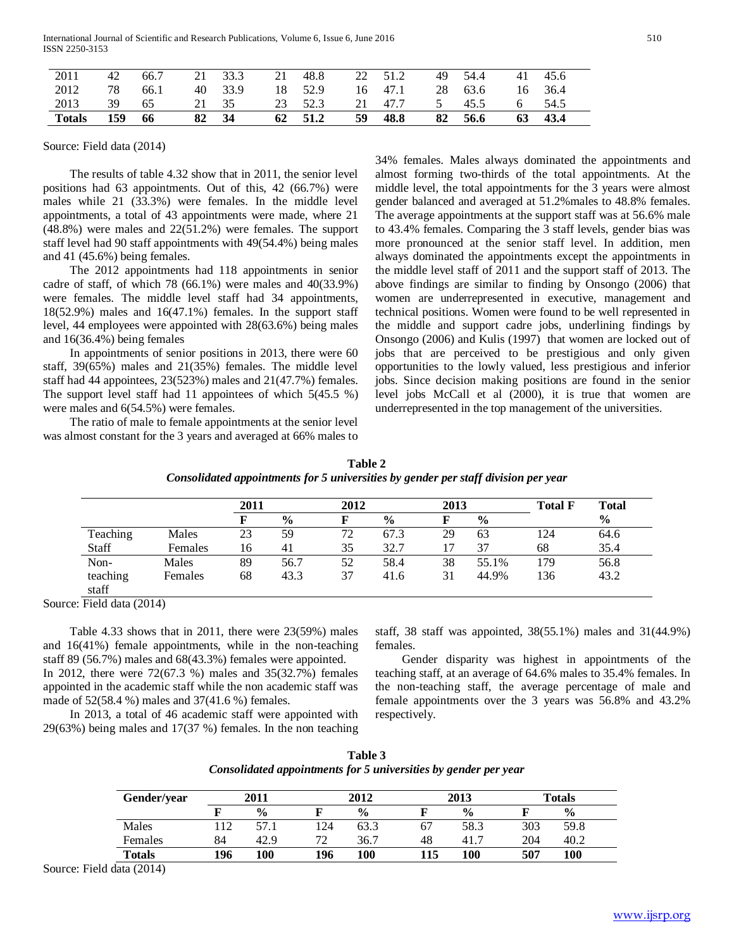| 2011   | 42  | 66.7 |    | 21 33.3 | 21 | 48.8    |    | 22 51.2 | 49 | 54.4    | 41 | 45.6 |
|--------|-----|------|----|---------|----|---------|----|---------|----|---------|----|------|
| 2012   | 78  | 66.1 |    | 40 33.9 |    | 18 52.9 |    | 16 47.1 |    | 28 63.6 | 16 | 36.4 |
| 2013   | 39  | -65  |    | 21 35   |    | 23 52.3 | 21 | 47.7    | 5  | 45.5    | 6  | 54.5 |
| Totals | 159 | -66  | 82 | - 34    |    | 62 51.2 | 59 | 48.8    | 82 | - 56.6  | 63 | 43.4 |

#### Source: Field data (2014)

 The results of table 4.32 show that in 2011, the senior level positions had 63 appointments. Out of this, 42 (66.7%) were males while 21 (33.3%) were females. In the middle level appointments, a total of 43 appointments were made, where 21 (48.8%) were males and 22(51.2%) were females. The support staff level had 90 staff appointments with 49(54.4%) being males and 41 (45.6%) being females.

 The 2012 appointments had 118 appointments in senior cadre of staff, of which 78 (66.1%) were males and 40(33.9%) were females. The middle level staff had 34 appointments, 18(52.9%) males and 16(47.1%) females. In the support staff level, 44 employees were appointed with 28(63.6%) being males and 16(36.4%) being females

 In appointments of senior positions in 2013, there were 60 staff, 39(65%) males and 21(35%) females. The middle level staff had 44 appointees, 23(523%) males and 21(47.7%) females. The support level staff had 11 appointees of which 5(45.5 %) were males and 6(54.5%) were females.

 The ratio of male to female appointments at the senior level was almost constant for the 3 years and averaged at 66% males to 34% females. Males always dominated the appointments and almost forming two-thirds of the total appointments. At the middle level, the total appointments for the 3 years were almost gender balanced and averaged at 51.2%males to 48.8% females. The average appointments at the support staff was at 56.6% male to 43.4% females. Comparing the 3 staff levels, gender bias was more pronounced at the senior staff level. In addition, men always dominated the appointments except the appointments in the middle level staff of 2011 and the support staff of 2013. The above findings are similar to finding by Onsongo (2006) that women are underrepresented in executive, management and technical positions. Women were found to be well represented in the middle and support cadre jobs, underlining findings by Onsongo (2006) and Kulis (1997) that women are locked out of jobs that are perceived to be prestigious and only given opportunities to the lowly valued, less prestigious and inferior jobs. Since decision making positions are found in the senior level jobs McCall et al (2000), it is true that women are underrepresented in the top management of the universities.

| Table 2                                                                            |
|------------------------------------------------------------------------------------|
| Consolidated appointments for 5 universities by gender per staff division per year |

|          |         | 2011 |               | 2012 |               | 2013 |               | <b>Total F</b> | <b>Total</b>  |
|----------|---------|------|---------------|------|---------------|------|---------------|----------------|---------------|
|          |         |      | $\frac{6}{6}$ |      | $\frac{0}{0}$ |      | $\frac{6}{9}$ |                | $\frac{6}{6}$ |
| Teaching | Males   | 23   | 59            | 72   | 67.3          | 29   | 63            | 124            | 64.6          |
| Staff    | Females | 16   | 41            | 35   | 32.7          | 17   | 37            | 68             | 35.4          |
| Non-     | Males   | 89   | 56.7          | 52   | 58.4          | 38   | 55.1%         | 179            | 56.8          |
| teaching | Females | 68   | 43.3          | 37   | 41.6          | 31   | 44.9%         | 136            | 43.2          |
| staff    |         |      |               |      |               |      |               |                |               |

Source: Field data (2014)

 Table 4.33 shows that in 2011, there were 23(59%) males and 16(41%) female appointments, while in the non-teaching staff 89 (56.7%) males and 68(43.3%) females were appointed. In 2012, there were 72(67.3 %) males and 35(32.7%) females

appointed in the academic staff while the non academic staff was made of 52(58.4 %) males and 37(41.6 %) females. In 2013, a total of 46 academic staff were appointed with

29(63%) being males and 17(37 %) females. In the non teaching

staff, 38 staff was appointed, 38(55.1%) males and 31(44.9%) females.

 Gender disparity was highest in appointments of the teaching staff, at an average of 64.6% males to 35.4% females. In the non-teaching staff, the average percentage of male and female appointments over the 3 years was 56.8% and 43.2% respectively.

|                                                                 | Table 3 |  |  |  |
|-----------------------------------------------------------------|---------|--|--|--|
| Consolidated appointments for 5 universities by gender per year |         |  |  |  |

| Gender/year   | 2011 |               |     | 2012          |    | 2013          |     | <b>Totals</b> |  |
|---------------|------|---------------|-----|---------------|----|---------------|-----|---------------|--|
|               |      | $\frac{0}{0}$ |     | $\frac{6}{9}$ |    | $\frac{0}{0}$ |     | $\frac{0}{0}$ |  |
| Males         |      | 57.1          | 124 | 63.3          | 67 | 58.3          | 303 | 59.8          |  |
| Females       | 84   | 42.9          | 72  | 36.7          | 48 | 41.7          | 204 | 40.2          |  |
| <b>Totals</b> | 196  | 100           | 196 | 100           | 15 | 100           | 507 | 100           |  |

Source: Field data (2014)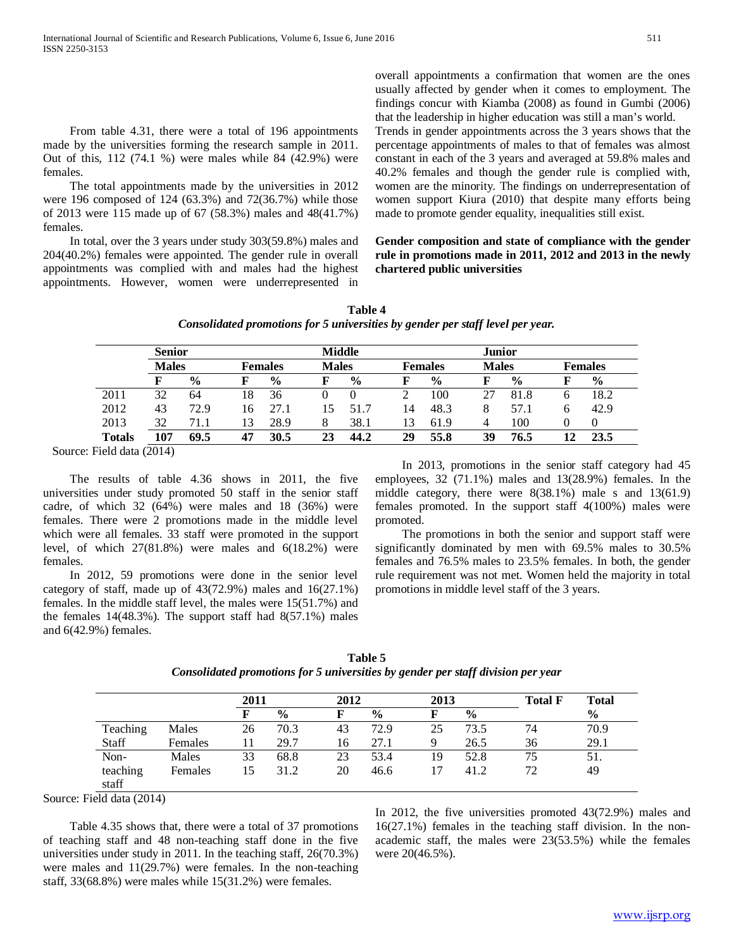From table 4.31, there were a total of 196 appointments made by the universities forming the research sample in 2011. Out of this, 112 (74.1 %) were males while 84 (42.9%) were females.

 The total appointments made by the universities in 2012 were 196 composed of 124 (63.3%) and 72(36.7%) while those of 2013 were 115 made up of 67 (58.3%) males and 48(41.7%) females.

 In total, over the 3 years under study 303(59.8%) males and 204(40.2%) females were appointed. The gender rule in overall appointments was complied with and males had the highest appointments. However, women were underrepresented in overall appointments a confirmation that women are the ones usually affected by gender when it comes to employment. The findings concur with Kiamba (2008) as found in Gumbi (2006) that the leadership in higher education was still a man's world. Trends in gender appointments across the 3 years shows that the percentage appointments of males to that of females was almost constant in each of the 3 years and averaged at 59.8% males and 40.2% females and though the gender rule is complied with, women are the minority. The findings on underrepresentation of women support Kiura (2010) that despite many efforts being made to promote gender equality, inequalities still exist.

**Gender composition and state of compliance with the gender rule in promotions made in 2011, 2012 and 2013 in the newly chartered public universities**

| Table 4                                                                        |  |
|--------------------------------------------------------------------------------|--|
| Consolidated promotions for 5 universities by gender per staff level per year. |  |

|               | <b>Senior</b> |               |                |               | <b>Middle</b> |               |    |                                | <b>Junior</b> |               |                |               |
|---------------|---------------|---------------|----------------|---------------|---------------|---------------|----|--------------------------------|---------------|---------------|----------------|---------------|
|               | <b>Males</b>  |               | <b>Females</b> |               |               | <b>Males</b>  |    | <b>Males</b><br><b>Females</b> |               |               | <b>Females</b> |               |
|               | F             | $\frac{0}{0}$ |                | $\frac{0}{0}$ |               | $\frac{0}{0}$ |    | $\frac{0}{0}$                  |               | $\frac{6}{6}$ |                | $\frac{0}{0}$ |
| 2011          | 32            | 64            | 18             | 36            |               |               |    | 100                            |               | 81.8          | n              | 18.2          |
| 2012          | 43            | 72.9          | 16             | 27.1          | 15            | 51.7          | 14 | 48.3                           | 8             | 57.1          | h              | 42.9          |
| 2013          | 32            | 71.1          | 13             | 28.9          |               | 38.1          | 13 | 61.9                           | 4             | 100           |                |               |
| <b>Totals</b> |               | 69.5          | 47             | 30.5          | 23            | 44.2          | 29 | 55.8                           | 39            | 76.5          |                | 23.5          |

Source: Field data (2014)

 The results of table 4.36 shows in 2011, the five universities under study promoted 50 staff in the senior staff cadre, of which 32 (64%) were males and 18 (36%) were females. There were 2 promotions made in the middle level which were all females. 33 staff were promoted in the support level, of which 27(81.8%) were males and 6(18.2%) were females.

 In 2012, 59 promotions were done in the senior level category of staff, made up of  $43(72.9%)$  males and  $16(27.1%)$ females. In the middle staff level, the males were 15(51.7%) and the females  $14(48.3\%)$ . The support staff had  $8(57.1\%)$  males and 6(42.9%) females.

 In 2013, promotions in the senior staff category had 45 employees, 32 (71.1%) males and 13(28.9%) females. In the middle category, there were 8(38.1%) male s and 13(61.9) females promoted. In the support staff 4(100%) males were promoted.

 The promotions in both the senior and support staff were significantly dominated by men with 69.5% males to 30.5% females and 76.5% males to 23.5% females. In both, the gender rule requirement was not met. Women held the majority in total promotions in middle level staff of the 3 years.

|          |         | 2011 |               | 2012 |               | 2013 |               | <b>Total F</b> | <b>Total</b>  |
|----------|---------|------|---------------|------|---------------|------|---------------|----------------|---------------|
|          |         | F    | $\frac{6}{6}$ | F    | $\frac{0}{0}$ |      | $\frac{6}{9}$ |                | $\frac{6}{9}$ |
| Teaching | Males   | 26   | 70.3          | 43   | 72.9          | 25   | 73.5          | 74             | 70.9          |
| Staff    | Females | 11   | 29.7          | 16   | 27.1          | 9    | 26.5          | 36             | 29.1          |
| Non-     | Males   | 33   | 68.8          | 23   | 53.4          | 19   | 52.8          | 75             | 51.           |
| teaching | Females | 15   | 31.2          | 20   | 46.6          | 17   | 41.2          | 72             | 49            |
| staff    |         |      |               |      |               |      |               |                |               |

**Table 5** *Consolidated promotions for 5 universities by gender per staff division per year*

Source: Field data (2014)

 Table 4.35 shows that, there were a total of 37 promotions of teaching staff and 48 non-teaching staff done in the five universities under study in 2011. In the teaching staff, 26(70.3%) were males and 11(29.7%) were females. In the non-teaching staff, 33(68.8%) were males while 15(31.2%) were females.

In 2012, the five universities promoted 43(72.9%) males and 16(27.1%) females in the teaching staff division. In the nonacademic staff, the males were 23(53.5%) while the females were 20(46.5%).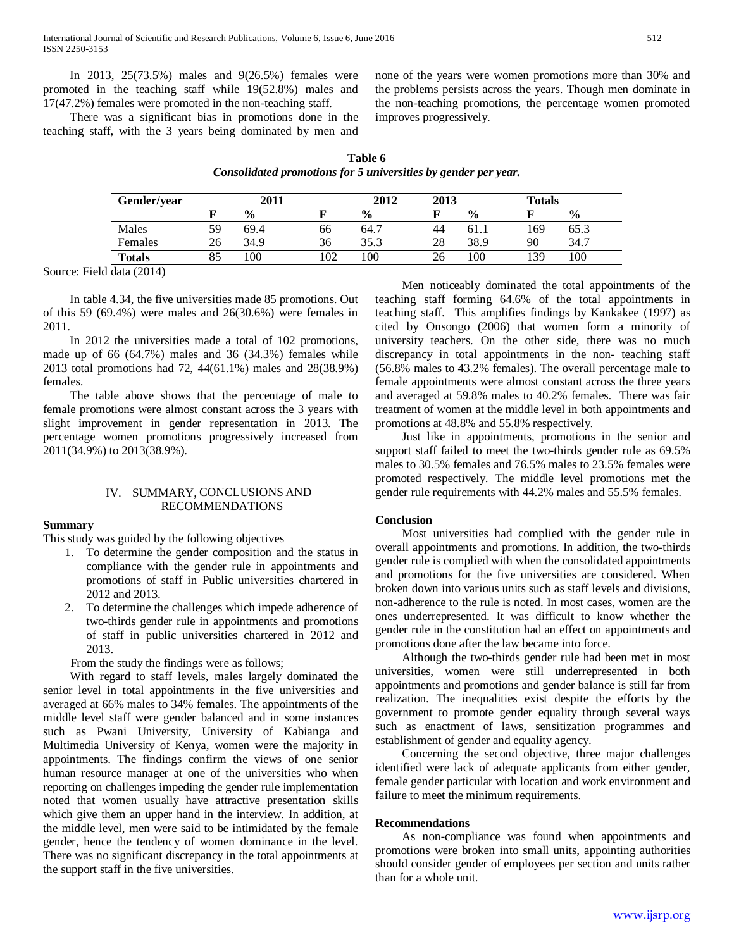In 2013, 25(73.5%) males and 9(26.5%) females were promoted in the teaching staff while 19(52.8%) males and 17(47.2%) females were promoted in the non-teaching staff.

 There was a significant bias in promotions done in the teaching staff, with the 3 years being dominated by men and none of the years were women promotions more than 30% and the problems persists across the years. Though men dominate in the non-teaching promotions, the percentage women promoted improves progressively.

| Table 6                                                        |  |
|----------------------------------------------------------------|--|
| Consolidated promotions for 5 universities by gender per year. |  |

| Gender/year   | 2011 |               |     | 2012          | 2013 |               | <b>Totals</b> |               |
|---------------|------|---------------|-----|---------------|------|---------------|---------------|---------------|
|               |      | $\frac{0}{0}$ |     | $\frac{0}{0}$ |      | $\frac{0}{0}$ |               | $\frac{6}{9}$ |
| Males         | 59   | 69.4          | 66  | 64.7          | 44   | 61.1          | 169           | 65.3          |
| Females       | 26   | 34.9          | 36  | 35.3          | 28   | 38.9          | 90            | 34.7          |
| <b>Totals</b> |      | 00            | 102 | 100           | 26   | 100           | 139           | 100           |

Source: Field data (2014)

 In table 4.34, the five universities made 85 promotions. Out of this 59 (69.4%) were males and 26(30.6%) were females in 2011.

 In 2012 the universities made a total of 102 promotions, made up of 66 (64.7%) males and 36 (34.3%) females while 2013 total promotions had 72, 44(61.1%) males and 28(38.9%) females.

 The table above shows that the percentage of male to female promotions were almost constant across the 3 years with slight improvement in gender representation in 2013. The percentage women promotions progressively increased from 2011(34.9%) to 2013(38.9%).

# IV. SUMMARY, CONCLUSIONS AND RECOMMENDATIONS

#### **Summary**

This study was guided by the following objectives

- 1. To determine the gender composition and the status in compliance with the gender rule in appointments and promotions of staff in Public universities chartered in 2012 and 2013.
- 2. To determine the challenges which impede adherence of two-thirds gender rule in appointments and promotions of staff in public universities chartered in 2012 and 2013.

From the study the findings were as follows;

 With regard to staff levels, males largely dominated the senior level in total appointments in the five universities and averaged at 66% males to 34% females. The appointments of the middle level staff were gender balanced and in some instances such as Pwani University, University of Kabianga and Multimedia University of Kenya, women were the majority in appointments. The findings confirm the views of one senior human resource manager at one of the universities who when reporting on challenges impeding the gender rule implementation noted that women usually have attractive presentation skills which give them an upper hand in the interview. In addition, at the middle level, men were said to be intimidated by the female gender, hence the tendency of women dominance in the level. There was no significant discrepancy in the total appointments at the support staff in the five universities.

 Men noticeably dominated the total appointments of the teaching staff forming 64.6% of the total appointments in teaching staff. This amplifies findings by Kankakee (1997) as cited by Onsongo (2006) that women form a minority of university teachers. On the other side, there was no much discrepancy in total appointments in the non- teaching staff (56.8% males to 43.2% females). The overall percentage male to female appointments were almost constant across the three years and averaged at 59.8% males to 40.2% females. There was fair treatment of women at the middle level in both appointments and promotions at 48.8% and 55.8% respectively.

 Just like in appointments, promotions in the senior and support staff failed to meet the two-thirds gender rule as 69.5% males to 30.5% females and 76.5% males to 23.5% females were promoted respectively. The middle level promotions met the gender rule requirements with 44.2% males and 55.5% females.

#### **Conclusion**

 Most universities had complied with the gender rule in overall appointments and promotions. In addition, the two-thirds gender rule is complied with when the consolidated appointments and promotions for the five universities are considered. When broken down into various units such as staff levels and divisions, non-adherence to the rule is noted. In most cases, women are the ones underrepresented. It was difficult to know whether the gender rule in the constitution had an effect on appointments and promotions done after the law became into force.

 Although the two-thirds gender rule had been met in most universities, women were still underrepresented in both appointments and promotions and gender balance is still far from realization. The inequalities exist despite the efforts by the government to promote gender equality through several ways such as enactment of laws, sensitization programmes and establishment of gender and equality agency.

 Concerning the second objective, three major challenges identified were lack of adequate applicants from either gender, female gender particular with location and work environment and failure to meet the minimum requirements.

#### **Recommendations**

 As non-compliance was found when appointments and promotions were broken into small units, appointing authorities should consider gender of employees per section and units rather than for a whole unit.